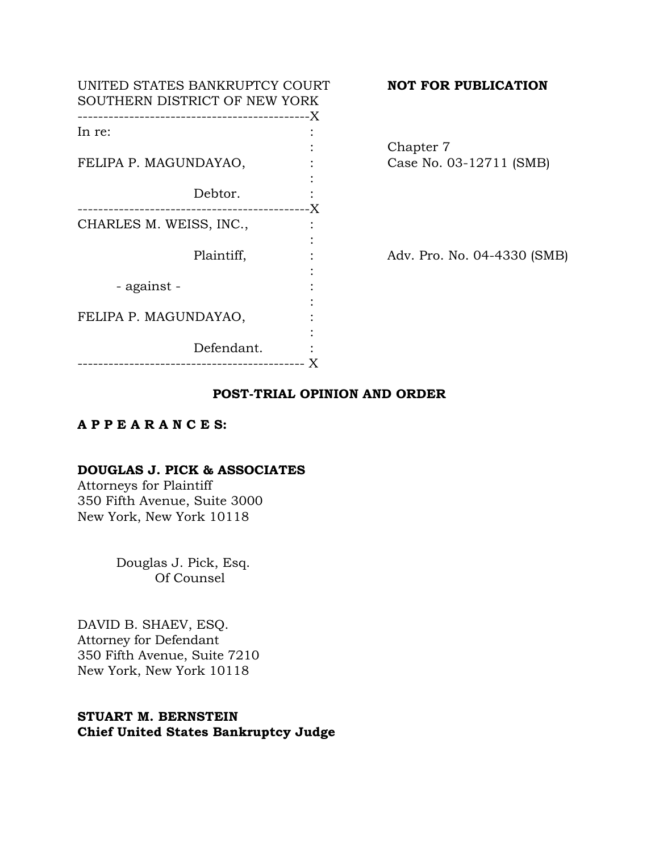| UNITED STATES BANKRUPTCY COURT<br>SOUTHERN DISTRICT OF NEW YORK |  |
|-----------------------------------------------------------------|--|
| In re:                                                          |  |
|                                                                 |  |
| FELIPA P. MAGUNDAYAO,                                           |  |
| Debtor.<br>----------------------------X                        |  |
| CHARLES M. WEISS, INC.,                                         |  |
| Plaintiff,                                                      |  |
| - against -                                                     |  |
| FELIPA P. MAGUNDAYAO,                                           |  |
| Defendant.<br>_____________________________                     |  |
|                                                                 |  |

# **NOT FOR PUBLICATION**

Chapter 7 Case No. 03-12711 (SMB)

Adv. Pro. No. 04-4330 (SMB)

# **POST-TRIAL OPINION AND ORDER**

# **A P P E A R A N C E S:**

# **DOUGLAS J. PICK & ASSOCIATES**

Attorneys for Plaintiff 350 Fifth Avenue, Suite 3000 New York, New York 10118

> Douglas J. Pick, Esq. Of Counsel

DAVID B. SHAEV, ESQ. Attorney for Defendant 350 Fifth Avenue, Suite 7210 New York, New York 10118

# **STUART M. BERNSTEIN Chief United States Bankruptcy Judge**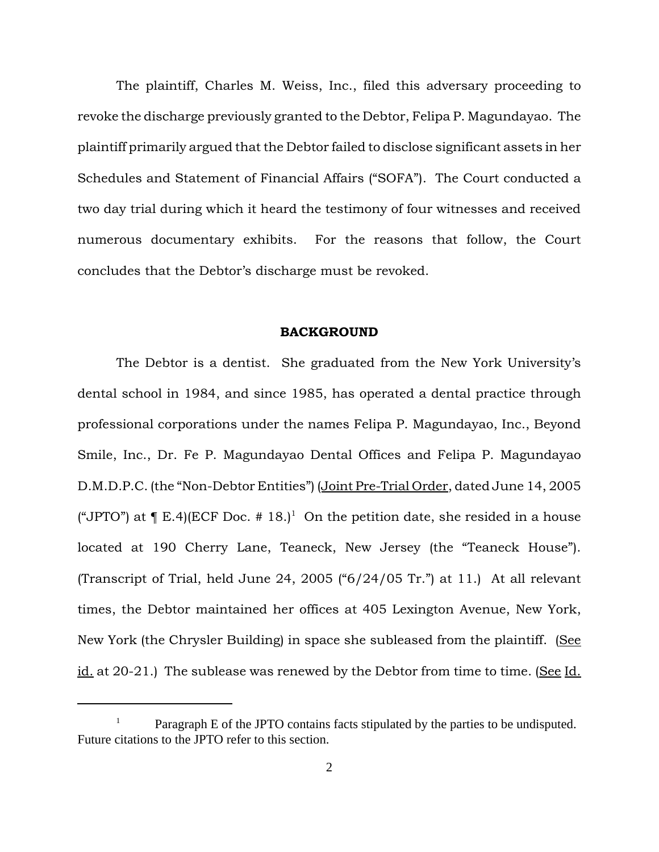The plaintiff, Charles M. Weiss, Inc., filed this adversary proceeding to revoke the discharge previously granted to the Debtor, Felipa P. Magundayao. The plaintiff primarily argued that the Debtor failed to disclose significant assets in her Schedules and Statement of Financial Affairs ("SOFA"). The Court conducted a two day trial during which it heard the testimony of four witnesses and received numerous documentary exhibits. For the reasons that follow, the Court concludes that the Debtor's discharge must be revoked.

#### **BACKGROUND**

The Debtor is a dentist. She graduated from the New York University's dental school in 1984, and since 1985, has operated a dental practice through professional corporations under the names Felipa P. Magundayao, Inc., Beyond Smile, Inc., Dr. Fe P. Magundayao Dental Offices and Felipa P. Magundayao D.M.D.P.C. (the "Non-Debtor Entities") (Joint Pre-Trial Order, dated June 14, 2005 ("JPTO") at  $\P$  E.4)(ECF Doc. # 18.)<sup>1</sup> On the petition date, she resided in a house located at 190 Cherry Lane, Teaneck, New Jersey (the "Teaneck House"). (Transcript of Trial, held June 24, 2005 ("6/24/05 Tr.") at 11.) At all relevant times, the Debtor maintained her offices at 405 Lexington Avenue, New York, New York (the Chrysler Building) in space she subleased from the plaintiff. (See id. at 20-21.) The sublease was renewed by the Debtor from time to time. (See Id.

Paragraph E of the JPTO contains facts stipulated by the parties to be undisputed. Future citations to the JPTO refer to this section.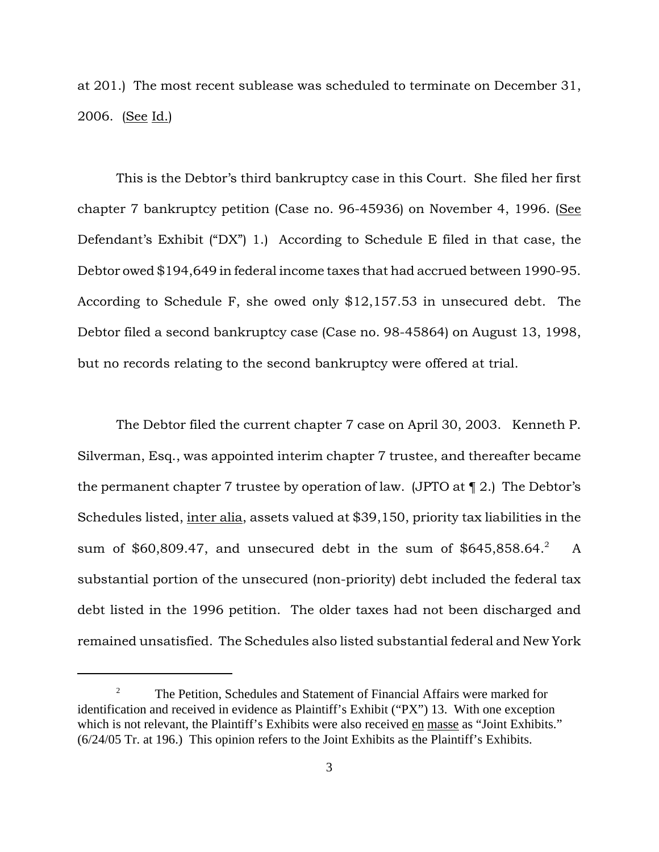at 201.) The most recent sublease was scheduled to terminate on December 31, 2006. (See Id.)

This is the Debtor's third bankruptcy case in this Court. She filed her first chapter 7 bankruptcy petition (Case no. 96-45936) on November 4, 1996. (See Defendant's Exhibit ("DX") 1.) According to Schedule E filed in that case, the Debtor owed \$194,649 in federal income taxes that had accrued between 1990-95. According to Schedule F, she owed only \$12,157.53 in unsecured debt. The Debtor filed a second bankruptcy case (Case no. 98-45864) on August 13, 1998, but no records relating to the second bankruptcy were offered at trial.

The Debtor filed the current chapter 7 case on April 30, 2003. Kenneth P. Silverman, Esq., was appointed interim chapter 7 trustee, and thereafter became the permanent chapter 7 trustee by operation of law. (JPTO at ¶ 2.) The Debtor's Schedules listed, inter alia, assets valued at \$39,150, priority tax liabilities in the sum of \$60,809.47, and unsecured debt in the sum of \$645,858.64.<sup>2</sup> A substantial portion of the unsecured (non-priority) debt included the federal tax debt listed in the 1996 petition. The older taxes had not been discharged and remained unsatisfied. The Schedules also listed substantial federal and New York

<sup>&</sup>lt;sup>2</sup> The Petition, Schedules and Statement of Financial Affairs were marked for identification and received in evidence as Plaintiff's Exhibit ("PX") 13. With one exception which is not relevant, the Plaintiff's Exhibits were also received en masse as "Joint Exhibits." (6/24/05 Tr. at 196.) This opinion refers to the Joint Exhibits as the Plaintiff's Exhibits.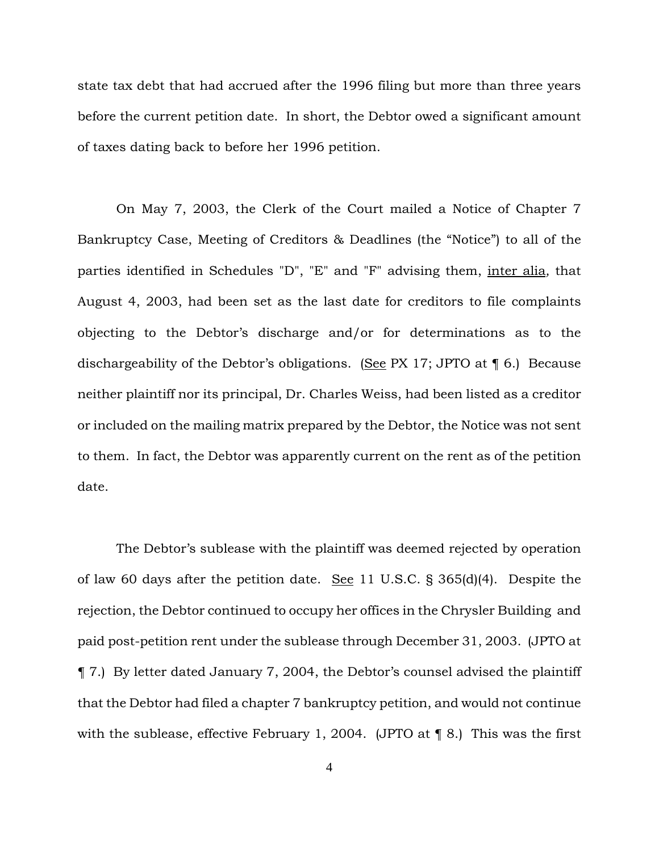state tax debt that had accrued after the 1996 filing but more than three years before the current petition date. In short, the Debtor owed a significant amount of taxes dating back to before her 1996 petition.

On May 7, 2003, the Clerk of the Court mailed a Notice of Chapter 7 Bankruptcy Case, Meeting of Creditors & Deadlines (the "Notice") to all of the parties identified in Schedules "D", "E" and "F" advising them, inter alia*,* that August 4, 2003, had been set as the last date for creditors to file complaints objecting to the Debtor's discharge and/or for determinations as to the dischargeability of the Debtor's obligations. (See PX 17; JPTO at  $\P$  6.) Because neither plaintiff nor its principal, Dr. Charles Weiss, had been listed as a creditor or included on the mailing matrix prepared by the Debtor, the Notice was not sent to them. In fact, the Debtor was apparently current on the rent as of the petition date.

The Debtor's sublease with the plaintiff was deemed rejected by operation of law 60 days after the petition date. See 11 U.S.C.  $\S$  365(d)(4). Despite the rejection, the Debtor continued to occupy her offices in the Chrysler Building and paid post-petition rent under the sublease through December 31, 2003. (JPTO at ¶ 7.) By letter dated January 7, 2004, the Debtor's counsel advised the plaintiff that the Debtor had filed a chapter 7 bankruptcy petition, and would not continue with the sublease, effective February 1, 2004. (JPTO at ¶ 8.) This was the first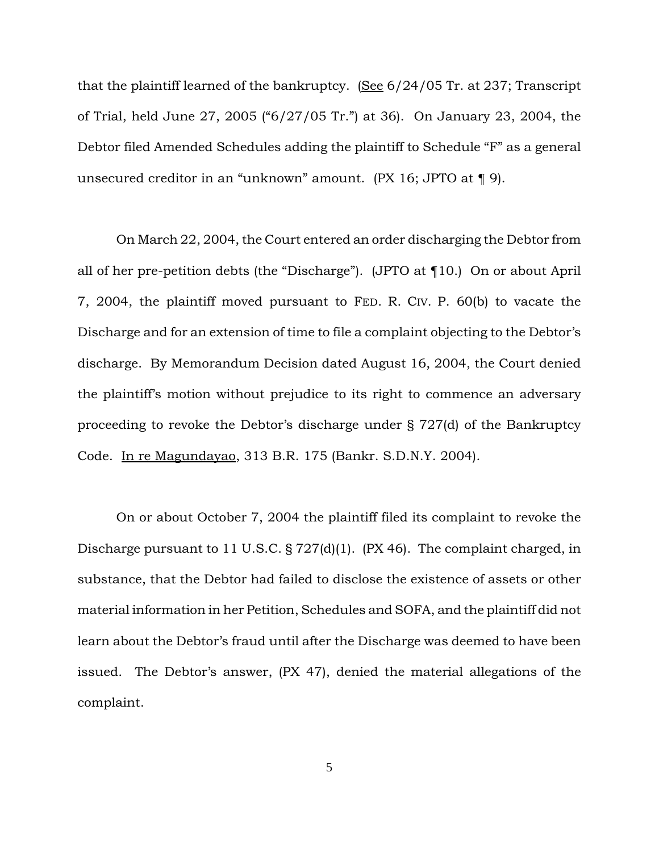that the plaintiff learned of the bankruptcy. (See 6/24/05 Tr. at 237; Transcript of Trial, held June 27, 2005 ("6/27/05 Tr.") at 36). On January 23, 2004, the Debtor filed Amended Schedules adding the plaintiff to Schedule "F" as a general unsecured creditor in an "unknown" amount. (PX 16; JPTO at ¶ 9).

On March 22, 2004, the Court entered an order discharging the Debtor from all of her pre-petition debts (the "Discharge"). (JPTO at ¶10.) On or about April 7, 2004, the plaintiff moved pursuant to FED. R. CIV. P. 60(b) to vacate the Discharge and for an extension of time to file a complaint objecting to the Debtor's discharge. By Memorandum Decision dated August 16, 2004, the Court denied the plaintiff's motion without prejudice to its right to commence an adversary proceeding to revoke the Debtor's discharge under § 727(d) of the Bankruptcy Code. In re Magundayao, 313 B.R. 175 (Bankr. S.D.N.Y. 2004).

On or about October 7, 2004 the plaintiff filed its complaint to revoke the Discharge pursuant to 11 U.S.C. § 727(d)(1). (PX 46). The complaint charged, in substance, that the Debtor had failed to disclose the existence of assets or other material information in her Petition, Schedules and SOFA, and the plaintiff did not learn about the Debtor's fraud until after the Discharge was deemed to have been issued. The Debtor's answer, (PX 47), denied the material allegations of the complaint.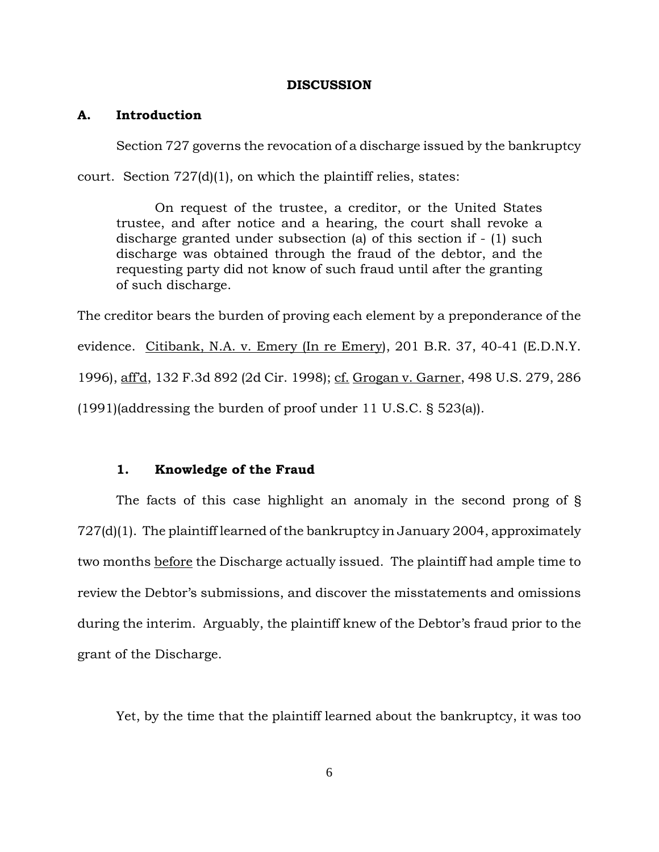### **DISCUSSION**

## **A. Introduction**

Section 727 governs the revocation of a discharge issued by the bankruptcy

court. Section 727(d)(1), on which the plaintiff relies, states:

On request of the trustee, a creditor, or the United States trustee, and after notice and a hearing, the court shall revoke a discharge granted under subsection (a) of this section if - (1) such discharge was obtained through the fraud of the debtor, and the requesting party did not know of such fraud until after the granting of such discharge.

The creditor bears the burden of proving each element by a preponderance of the evidence. Citibank, N.A. v. Emery (In re Emery), 201 B.R. 37, 40-41 (E.D.N.Y. 1996), aff'd, 132 F.3d 892 (2d Cir. 1998); cf. Grogan v. Garner, 498 U.S. 279, 286 (1991)(addressing the burden of proof under 11 U.S.C. § 523(a)).

### **1. Knowledge of the Fraud**

The facts of this case highlight an anomaly in the second prong of § 727(d)(1). The plaintiff learned of the bankruptcy in January 2004, approximately two months before the Discharge actually issued. The plaintiff had ample time to review the Debtor's submissions, and discover the misstatements and omissions during the interim. Arguably, the plaintiff knew of the Debtor's fraud prior to the grant of the Discharge.

Yet, by the time that the plaintiff learned about the bankruptcy, it was too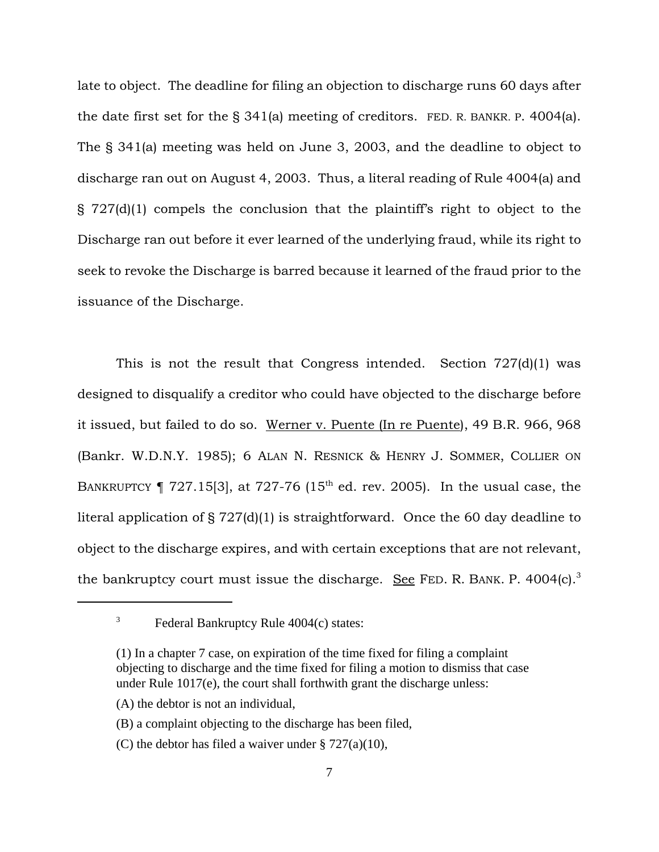late to object. The deadline for filing an objection to discharge runs 60 days after the date first set for the § 341(a) meeting of creditors. FED. R. BANKR. P. 4004(a). The § 341(a) meeting was held on June 3, 2003, and the deadline to object to discharge ran out on August 4, 2003. Thus, a literal reading of Rule 4004(a) and § 727(d)(1) compels the conclusion that the plaintiff's right to object to the Discharge ran out before it ever learned of the underlying fraud, while its right to seek to revoke the Discharge is barred because it learned of the fraud prior to the issuance of the Discharge.

This is not the result that Congress intended. Section 727(d)(1) was designed to disqualify a creditor who could have objected to the discharge before it issued, but failed to do so. Werner v. Puente (In re Puente), 49 B.R. 966, 968 (Bankr. W.D.N.Y. 1985); 6 ALAN N. RESNICK & HENRY J. SOMMER, COLLIER ON BANKRUPTCY  $\P$  727.15[3], at 727-76 (15<sup>th</sup> ed. rev. 2005). In the usual case, the literal application of § 727(d)(1) is straightforward. Once the 60 day deadline to object to the discharge expires, and with certain exceptions that are not relevant, the bankruptcy court must issue the discharge. See FED. R. BANK. P. 4004 $(c)$ <sup>3</sup>

- (A) the debtor is not an individual,
- (B) a complaint objecting to the discharge has been filed,
- (C) the debtor has filed a waiver under § 727(a)(10),

 $3$  Federal Bankruptcy Rule 4004(c) states:

<sup>(1)</sup> In a chapter 7 case, on expiration of the time fixed for filing a complaint objecting to discharge and the time fixed for filing a motion to dismiss that case under Rule 1017(e), the court shall forthwith grant the discharge unless: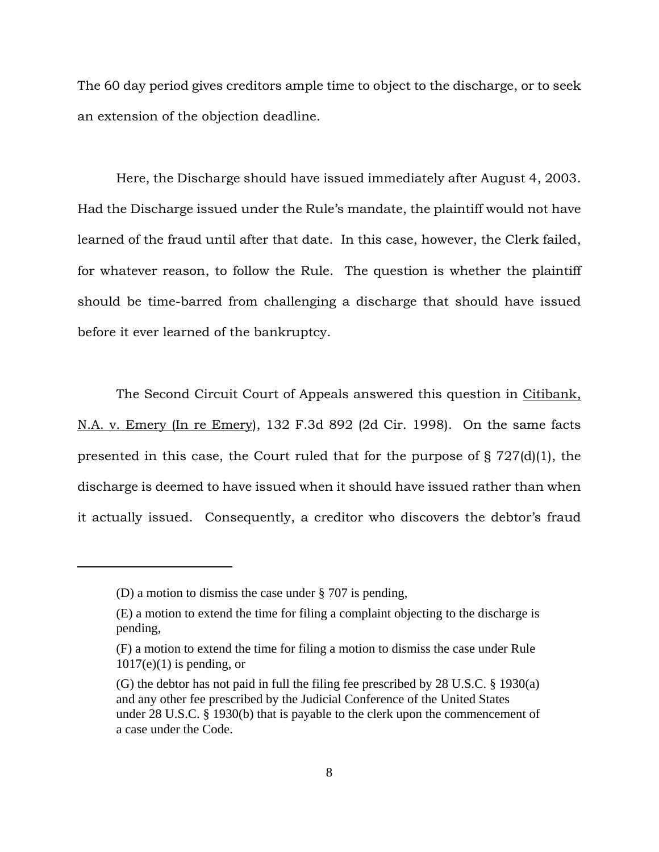The 60 day period gives creditors ample time to object to the discharge, or to seek an extension of the objection deadline.

Here, the Discharge should have issued immediately after August 4, 2003. Had the Discharge issued under the Rule's mandate, the plaintiff would not have learned of the fraud until after that date. In this case, however, the Clerk failed, for whatever reason, to follow the Rule. The question is whether the plaintiff should be time-barred from challenging a discharge that should have issued before it ever learned of the bankruptcy.

The Second Circuit Court of Appeals answered this question in Citibank, N.A. v. Emery (In re Emery), 132 F.3d 892 (2d Cir. 1998). On the same facts presented in this case, the Court ruled that for the purpose of § 727(d)(1), the discharge is deemed to have issued when it should have issued rather than when it actually issued. Consequently, a creditor who discovers the debtor's fraud

<sup>(</sup>D) a motion to dismiss the case under § 707 is pending,

<sup>(</sup>E) a motion to extend the time for filing a complaint objecting to the discharge is pending,

<sup>(</sup>F) a motion to extend the time for filing a motion to dismiss the case under Rule  $1017(e)(1)$  is pending, or

<sup>(</sup>G) the debtor has not paid in full the filing fee prescribed by 28 U.S.C. § 1930(a) and any other fee prescribed by the Judicial Conference of the United States under 28 U.S.C. § 1930(b) that is payable to the clerk upon the commencement of a case under the Code.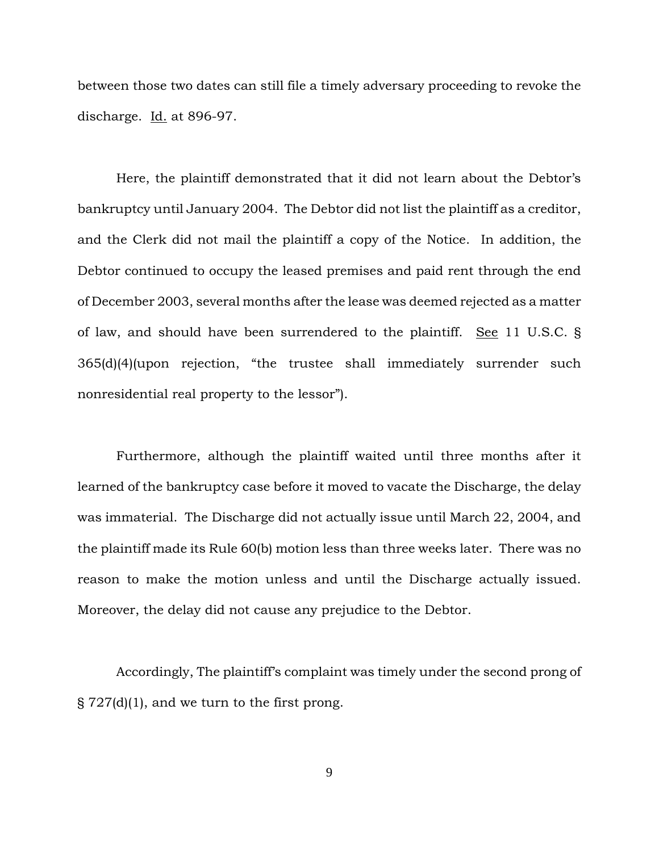between those two dates can still file a timely adversary proceeding to revoke the discharge.  $\underline{Id.}$  at 896-97.

Here, the plaintiff demonstrated that it did not learn about the Debtor's bankruptcy until January 2004. The Debtor did not list the plaintiff as a creditor, and the Clerk did not mail the plaintiff a copy of the Notice. In addition, the Debtor continued to occupy the leased premises and paid rent through the end of December 2003, several months after the lease was deemed rejected as a matter of law, and should have been surrendered to the plaintiff. See 11 U.S.C. § 365(d)(4)(upon rejection, "the trustee shall immediately surrender such nonresidential real property to the lessor").

Furthermore, although the plaintiff waited until three months after it learned of the bankruptcy case before it moved to vacate the Discharge, the delay was immaterial. The Discharge did not actually issue until March 22, 2004, and the plaintiff made its Rule 60(b) motion less than three weeks later. There was no reason to make the motion unless and until the Discharge actually issued. Moreover, the delay did not cause any prejudice to the Debtor.

Accordingly, The plaintiff's complaint was timely under the second prong of  $\S 727(d)(1)$ , and we turn to the first prong.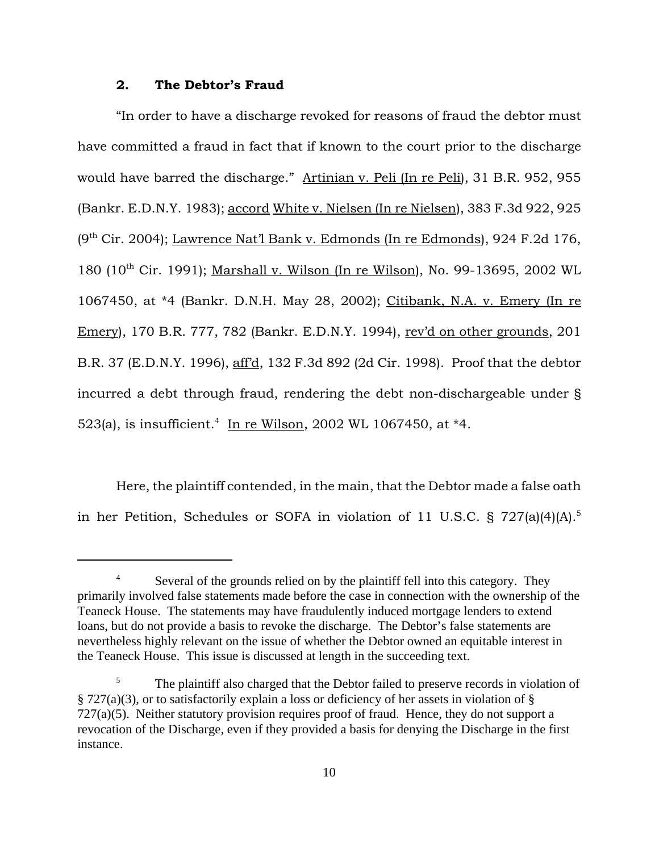## **2. The Debtor's Fraud**

"In order to have a discharge revoked for reasons of fraud the debtor must have committed a fraud in fact that if known to the court prior to the discharge would have barred the discharge." Artinian v. Peli (In re Peli), 31 B.R. 952, 955 (Bankr. E.D.N.Y. 1983); accord White v. Nielsen (In re Nielsen), 383 F.3d 922, 925  $(9<sup>th</sup> Cir. 2004)$ ; Lawrence Nat'l Bank v. Edmonds (In re Edmonds), 924 F.2d 176, 180 (10th Cir. 1991); Marshall v. Wilson (In re Wilson), No. 99-13695, 2002 WL 1067450, at \*4 (Bankr. D.N.H. May 28, 2002); Citibank, N.A. v. Emery (In re Emery), 170 B.R. 777, 782 (Bankr. E.D.N.Y. 1994), rev'd on other grounds, 201 B.R. 37 (E.D.N.Y. 1996), aff'd, 132 F.3d 892 (2d Cir. 1998). Proof that the debtor incurred a debt through fraud, rendering the debt non-dischargeable under § 523(a), is insufficient.<sup>4</sup> In re Wilson, 2002 WL 1067450, at \*4.

Here, the plaintiff contended, in the main, that the Debtor made a false oath in her Petition, Schedules or SOFA in violation of 11 U.S.C. § 727(a)(4)(A).<sup>5</sup>

<sup>&</sup>lt;sup>4</sup> Several of the grounds relied on by the plaintiff fell into this category. They primarily involved false statements made before the case in connection with the ownership of the Teaneck House. The statements may have fraudulently induced mortgage lenders to extend loans, but do not provide a basis to revoke the discharge. The Debtor's false statements are nevertheless highly relevant on the issue of whether the Debtor owned an equitable interest in the Teaneck House. This issue is discussed at length in the succeeding text.

<sup>&</sup>lt;sup>5</sup> The plaintiff also charged that the Debtor failed to preserve records in violation of § 727(a)(3), or to satisfactorily explain a loss or deficiency of her assets in violation of §  $727(a)(5)$ . Neither statutory provision requires proof of fraud. Hence, they do not support a revocation of the Discharge, even if they provided a basis for denying the Discharge in the first instance.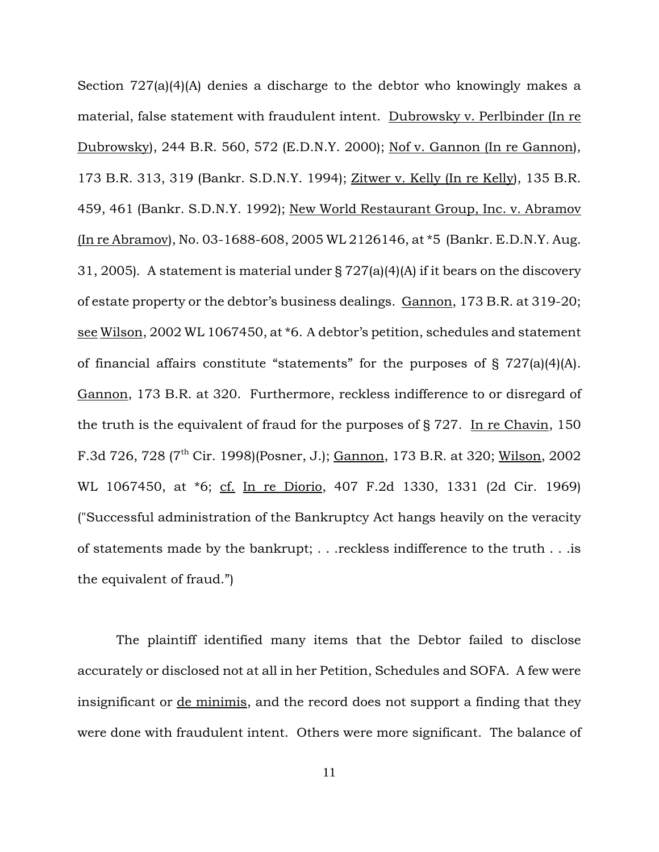Section 727(a)(4)(A) denies a discharge to the debtor who knowingly makes a material, false statement with fraudulent intent. Dubrowsky v. Perlbinder (In re Dubrowsky), 244 B.R. 560, 572 (E.D.N.Y. 2000); Nof v. Gannon (In re Gannon), 173 B.R. 313, 319 (Bankr. S.D.N.Y. 1994); Zitwer v. Kelly (In re Kelly), 135 B.R. 459, 461 (Bankr. S.D.N.Y. 1992); New World Restaurant Group, Inc. v. Abramov (In re Abramov), No. 03-1688-608, 2005 WL 2126146, at \*5 (Bankr. E.D.N.Y. Aug. 31, 2005). A statement is material under § 727(a)(4)(A) if it bears on the discovery of estate property or the debtor's business dealings. Gannon, 173 B.R. at 319-20; see Wilson, 2002 WL 1067450, at \*6. A debtor's petition, schedules and statement of financial affairs constitute "statements" for the purposes of § 727(a)(4)(A). Gannon, 173 B.R. at 320. Furthermore, reckless indifference to or disregard of the truth is the equivalent of fraud for the purposes of § 727. In re Chavin, 150 F.3d 726, 728 ( $7^{\text{th}}$  Cir. 1998)(Posner, J.); Gannon, 173 B.R. at 320; Wilson, 2002 WL 1067450, at \*6; cf. In re Diorio, 407 F.2d 1330, 1331 (2d Cir. 1969) ("Successful administration of the Bankruptcy Act hangs heavily on the veracity of statements made by the bankrupt; . . .reckless indifference to the truth . . .is the equivalent of fraud.")

The plaintiff identified many items that the Debtor failed to disclose accurately or disclosed not at all in her Petition, Schedules and SOFA. A few were insignificant or de minimis, and the record does not support a finding that they were done with fraudulent intent. Others were more significant. The balance of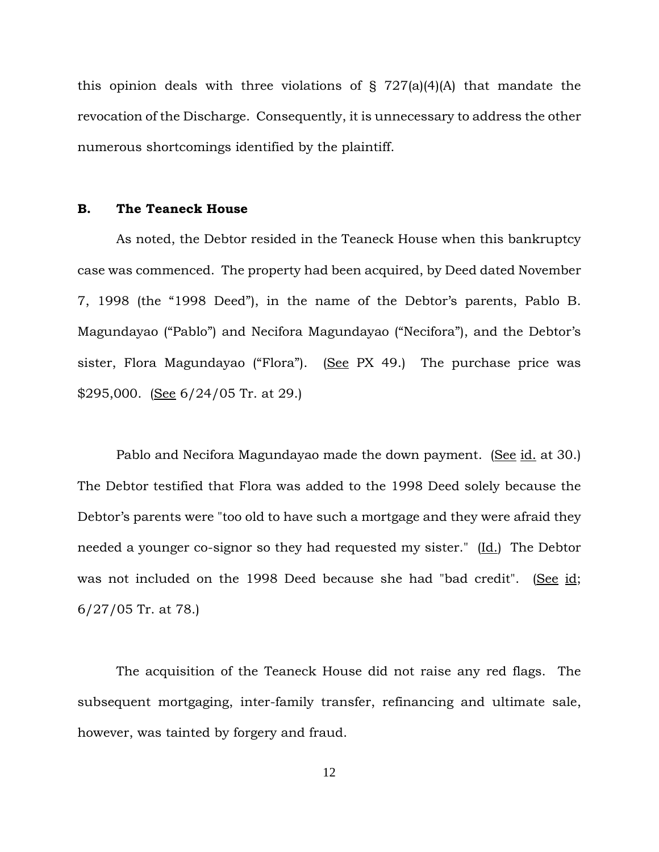this opinion deals with three violations of  $\S$  727(a)(4)(A) that mandate the revocation of the Discharge. Consequently, it is unnecessary to address the other numerous shortcomings identified by the plaintiff.

## **B. The Teaneck House**

As noted, the Debtor resided in the Teaneck House when this bankruptcy case was commenced. The property had been acquired, by Deed dated November 7, 1998 (the "1998 Deed"), in the name of the Debtor's parents, Pablo B. Magundayao ("Pablo") and Necifora Magundayao ("Necifora"), and the Debtor's sister, Flora Magundayao ("Flora"). (See PX 49.) The purchase price was \$295,000. (See  $6/24/05$  Tr. at 29.)

Pablo and Necifora Magundayao made the down payment. (See id. at 30.) The Debtor testified that Flora was added to the 1998 Deed solely because the Debtor's parents were "too old to have such a mortgage and they were afraid they needed a younger co-signor so they had requested my sister." (Id.) The Debtor was not included on the 1998 Deed because she had "bad credit". (See id; 6/27/05 Tr. at 78.)

The acquisition of the Teaneck House did not raise any red flags. The subsequent mortgaging, inter-family transfer, refinancing and ultimate sale, however, was tainted by forgery and fraud.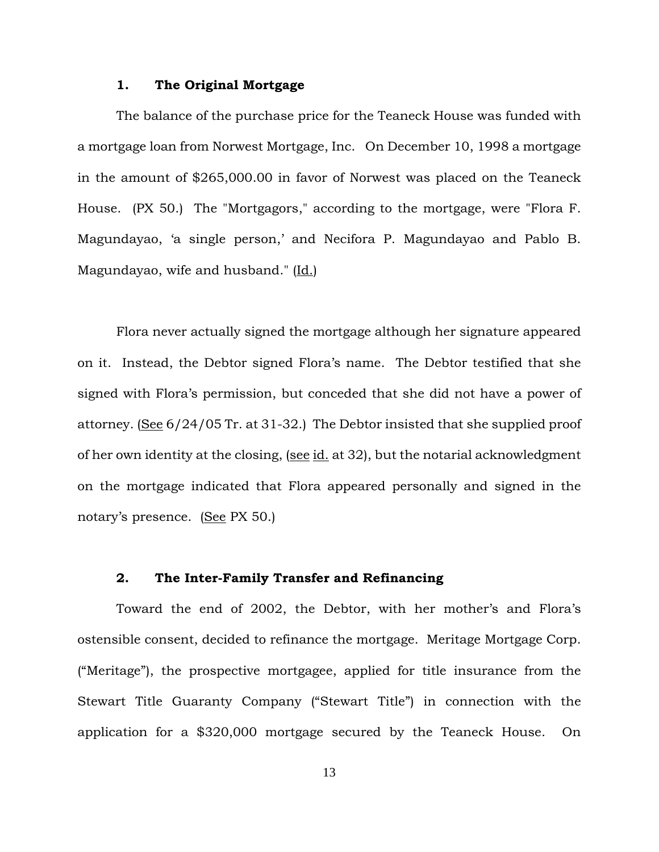### **1. The Original Mortgage**

The balance of the purchase price for the Teaneck House was funded with a mortgage loan from Norwest Mortgage, Inc. On December 10, 1998 a mortgage in the amount of \$265,000.00 in favor of Norwest was placed on the Teaneck House. (PX 50.) The "Mortgagors," according to the mortgage, were "Flora F. Magundayao, 'a single person,' and Necifora P. Magundayao and Pablo B. Magundayao, wife and husband." (Id.)

Flora never actually signed the mortgage although her signature appeared on it. Instead, the Debtor signed Flora's name. The Debtor testified that she signed with Flora's permission, but conceded that she did not have a power of attorney. (See 6/24/05 Tr. at 31-32.) The Debtor insisted that she supplied proof of her own identity at the closing, (see id. at 32), but the notarial acknowledgment on the mortgage indicated that Flora appeared personally and signed in the notary's presence. (See PX 50.)

## **2. The Inter-Family Transfer and Refinancing**

Toward the end of 2002, the Debtor, with her mother's and Flora's ostensible consent, decided to refinance the mortgage. Meritage Mortgage Corp. ("Meritage"), the prospective mortgagee, applied for title insurance from the Stewart Title Guaranty Company ("Stewart Title") in connection with the application for a \$320,000 mortgage secured by the Teaneck House. On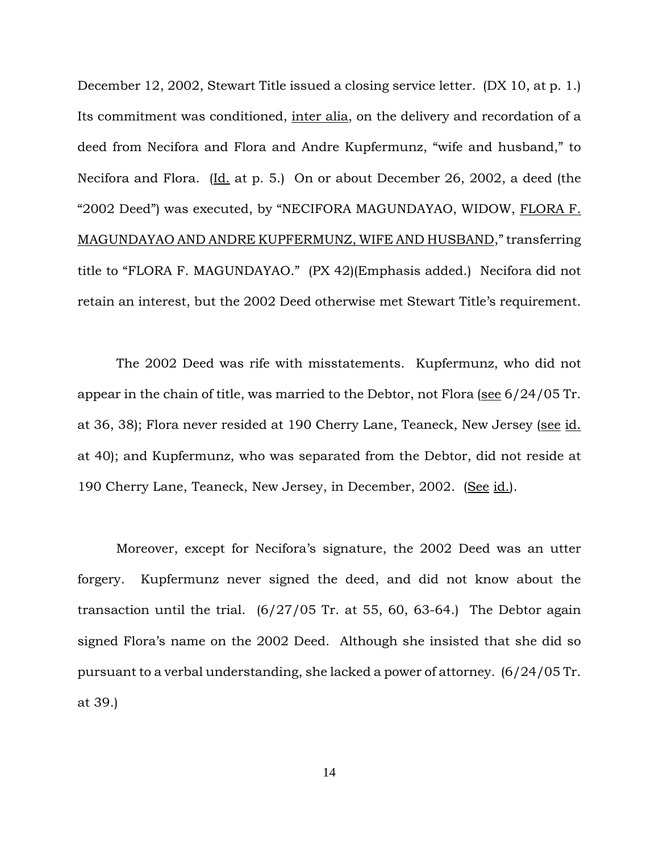December 12, 2002, Stewart Title issued a closing service letter. (DX 10, at p. 1.) Its commitment was conditioned, inter alia, on the delivery and recordation of a deed from Necifora and Flora and Andre Kupfermunz, "wife and husband," to Necifora and Flora. (Id. at p. 5.) On or about December 26, 2002, a deed (the "2002 Deed") was executed, by "NECIFORA MAGUNDAYAO, WIDOW, FLORA F. MAGUNDAYAO AND ANDRE KUPFERMUNZ, WIFE AND HUSBAND," transferring title to "FLORA F. MAGUNDAYAO." (PX 42)(Emphasis added.) Necifora did not retain an interest, but the 2002 Deed otherwise met Stewart Title's requirement.

The 2002 Deed was rife with misstatements. Kupfermunz, who did not appear in the chain of title, was married to the Debtor, not Flora (see 6/24/05 Tr. at 36, 38); Flora never resided at 190 Cherry Lane, Teaneck, New Jersey (see id. at 40); and Kupfermunz, who was separated from the Debtor, did not reside at 190 Cherry Lane, Teaneck, New Jersey, in December, 2002. (See id.).

Moreover, except for Necifora's signature, the 2002 Deed was an utter forgery. Kupfermunz never signed the deed, and did not know about the transaction until the trial.  $(6/27/05)$  Tr. at 55, 60, 63-64.) The Debtor again signed Flora's name on the 2002 Deed. Although she insisted that she did so pursuant to a verbal understanding, she lacked a power of attorney. (6/24/05 Tr. at 39.)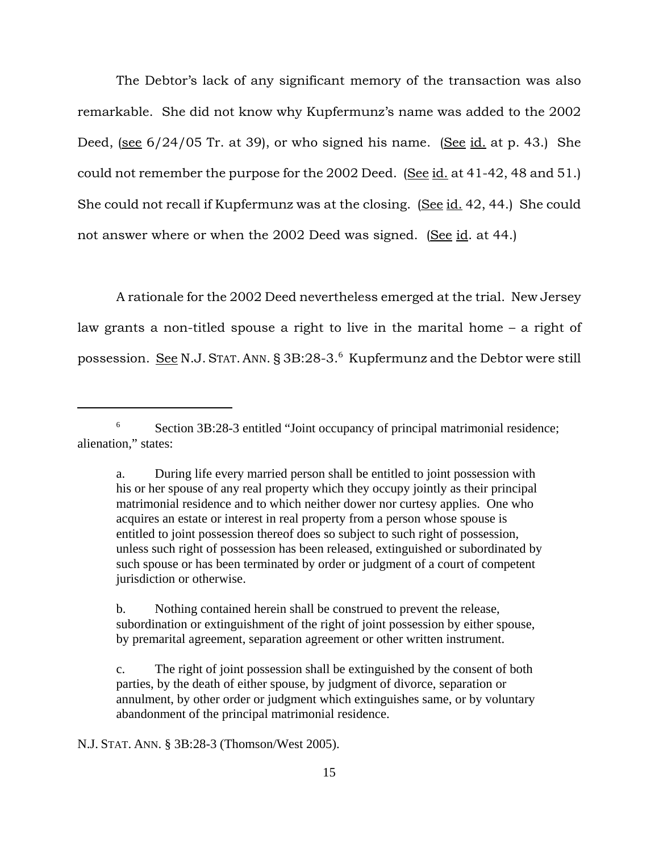The Debtor's lack of any significant memory of the transaction was also remarkable. She did not know why Kupfermunz's name was added to the 2002 Deed, (see  $6/24/05$  Tr. at 39), or who signed his name. (See id. at p. 43.) She could not remember the purpose for the 2002 Deed. (See id. at 41-42, 48 and 51.) She could not recall if Kupfermunz was at the closing. (See id. 42, 44.) She could not answer where or when the 2002 Deed was signed. (See id. at 44.)

A rationale for the 2002 Deed nevertheless emerged at the trial. New Jersey law grants a non-titled spouse a right to live in the marital home – a right of possession. <u>See</u> N.J. Stat. Ann. § 3B:28-3.<sup>6</sup> Kupfermunz and the Debtor were still

N.J. STAT. ANN. § 3B:28-3 (Thomson/West 2005).

<sup>6</sup> Section 3B:28-3 entitled "Joint occupancy of principal matrimonial residence; alienation," states:

a. During life every married person shall be entitled to joint possession with his or her spouse of any real property which they occupy jointly as their principal matrimonial residence and to which neither dower nor curtesy applies. One who acquires an estate or interest in real property from a person whose spouse is entitled to joint possession thereof does so subject to such right of possession, unless such right of possession has been released, extinguished or subordinated by such spouse or has been terminated by order or judgment of a court of competent jurisdiction or otherwise.

b. Nothing contained herein shall be construed to prevent the release, subordination or extinguishment of the right of joint possession by either spouse, by premarital agreement, separation agreement or other written instrument.

c. The right of joint possession shall be extinguished by the consent of both parties, by the death of either spouse, by judgment of divorce, separation or annulment, by other order or judgment which extinguishes same, or by voluntary abandonment of the principal matrimonial residence.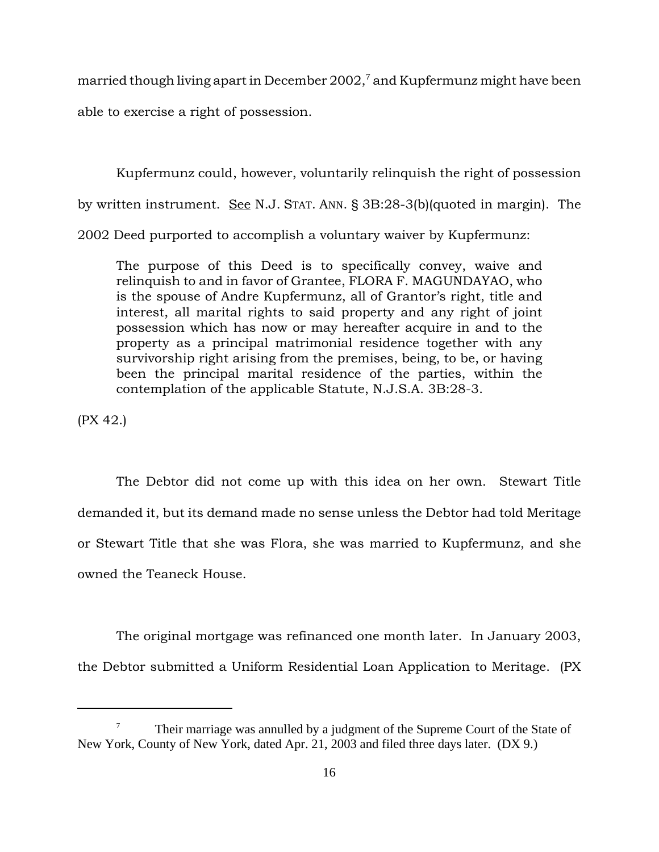married though living apart in December 2002, $^7$  and Kupfermunz might have been able to exercise a right of possession.

Kupfermunz could, however, voluntarily relinquish the right of possession by written instrument. See N.J. STAT. ANN. § 3B:28-3(b)(quoted in margin). The 2002 Deed purported to accomplish a voluntary waiver by Kupfermunz:

The purpose of this Deed is to specifically convey, waive and relinquish to and in favor of Grantee, FLORA F. MAGUNDAYAO, who is the spouse of Andre Kupfermunz, all of Grantor's right, title and interest, all marital rights to said property and any right of joint possession which has now or may hereafter acquire in and to the property as a principal matrimonial residence together with any survivorship right arising from the premises, being, to be, or having been the principal marital residence of the parties, within the contemplation of the applicable Statute, N.J.S.A. 3B:28-3.

(PX 42.)

The Debtor did not come up with this idea on her own. Stewart Title demanded it, but its demand made no sense unless the Debtor had told Meritage or Stewart Title that she was Flora, she was married to Kupfermunz, and she owned the Teaneck House.

The original mortgage was refinanced one month later. In January 2003, the Debtor submitted a Uniform Residential Loan Application to Meritage. (PX

 $7 \text{ Their marriage was annulled by a judgment of the Supreme Court of the State of }$ New York, County of New York, dated Apr. 21, 2003 and filed three days later. (DX 9.)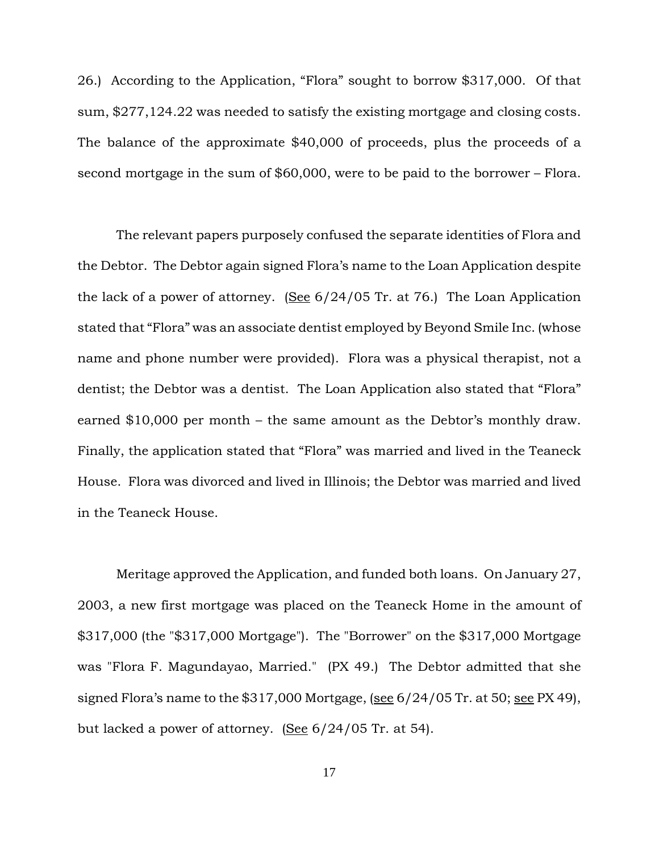26.) According to the Application, "Flora" sought to borrow \$317,000. Of that sum, \$277,124.22 was needed to satisfy the existing mortgage and closing costs. The balance of the approximate \$40,000 of proceeds, plus the proceeds of a second mortgage in the sum of \$60,000, were to be paid to the borrower – Flora.

The relevant papers purposely confused the separate identities of Flora and the Debtor. The Debtor again signed Flora's name to the Loan Application despite the lack of a power of attorney. (See  $6/24/05$  Tr. at 76.) The Loan Application stated that "Flora" was an associate dentist employed by Beyond Smile Inc. (whose name and phone number were provided). Flora was a physical therapist, not a dentist; the Debtor was a dentist. The Loan Application also stated that "Flora" earned \$10,000 per month – the same amount as the Debtor's monthly draw. Finally, the application stated that "Flora" was married and lived in the Teaneck House. Flora was divorced and lived in Illinois; the Debtor was married and lived in the Teaneck House.

Meritage approved the Application, and funded both loans. On January 27, 2003, a new first mortgage was placed on the Teaneck Home in the amount of \$317,000 (the "\$317,000 Mortgage"). The "Borrower" on the \$317,000 Mortgage was "Flora F. Magundayao, Married." (PX 49.) The Debtor admitted that she signed Flora's name to the  $$317,000$  Mortgage, (see  $6/24/05$  Tr. at 50; see PX 49), but lacked a power of attorney. (See 6/24/05 Tr. at 54).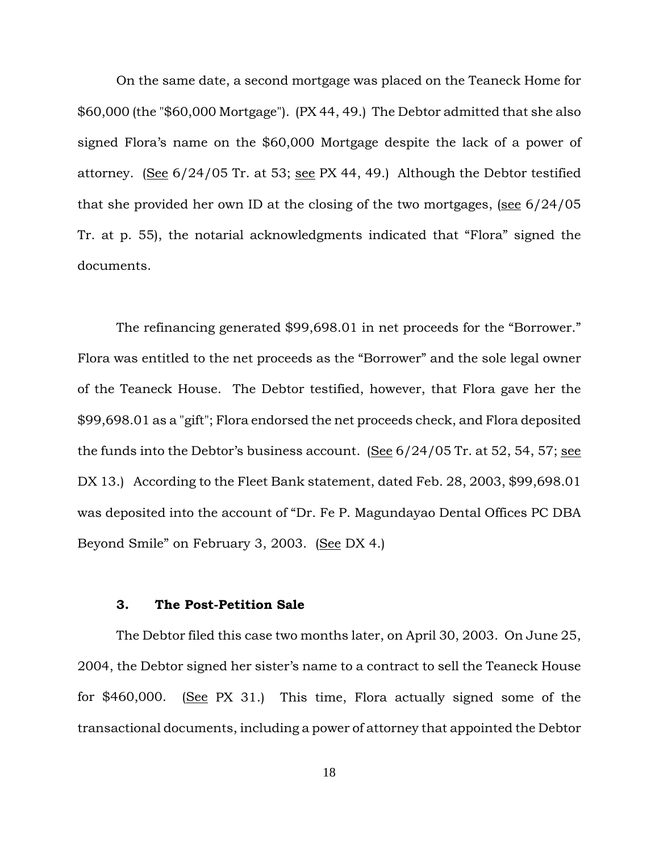On the same date, a second mortgage was placed on the Teaneck Home for \$60,000 (the "\$60,000 Mortgage"). (PX 44, 49.) The Debtor admitted that she also signed Flora's name on the \$60,000 Mortgage despite the lack of a power of attorney. (See  $6/24/05$  Tr. at 53; see PX 44, 49.) Although the Debtor testified that she provided her own ID at the closing of the two mortgages, (see  $6/24/05$ Tr. at p. 55), the notarial acknowledgments indicated that "Flora" signed the documents.

The refinancing generated \$99,698.01 in net proceeds for the "Borrower." Flora was entitled to the net proceeds as the "Borrower" and the sole legal owner of the Teaneck House. The Debtor testified, however, that Flora gave her the \$99,698.01 as a "gift"; Flora endorsed the net proceeds check, and Flora deposited the funds into the Debtor's business account. (See  $6/24/05$  Tr. at 52, 54, 57; see DX 13.) According to the Fleet Bank statement, dated Feb. 28, 2003, \$99,698.01 was deposited into the account of "Dr. Fe P. Magundayao Dental Offices PC DBA Beyond Smile" on February 3, 2003. (See DX 4.)

#### **3. The Post-Petition Sale**

The Debtor filed this case two months later, on April 30, 2003. On June 25, 2004, the Debtor signed her sister's name to a contract to sell the Teaneck House for \$460,000. (See PX 31.) This time, Flora actually signed some of the transactional documents, including a power of attorney that appointed the Debtor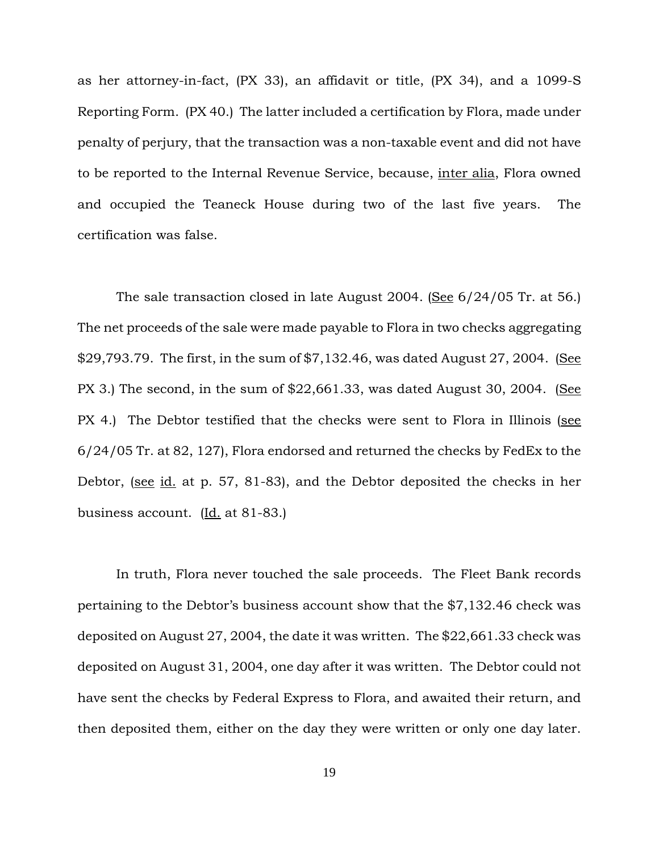as her attorney-in-fact, (PX 33), an affidavit or title, (PX 34), and a 1099-S Reporting Form. (PX 40.) The latter included a certification by Flora, made under penalty of perjury, that the transaction was a non-taxable event and did not have to be reported to the Internal Revenue Service, because, inter alia, Flora owned and occupied the Teaneck House during two of the last five years. The certification was false.

The sale transaction closed in late August 2004. (See 6/24/05 Tr. at 56.) The net proceeds of the sale were made payable to Flora in two checks aggregating \$29,793.79. The first, in the sum of  $$7,132.46$ , was dated August 27, 2004. (See PX 3.) The second, in the sum of  $$22,661.33$ , was dated August 30, 2004. (See PX 4.) The Debtor testified that the checks were sent to Flora in Illinois (see 6/24/05 Tr. at 82, 127), Flora endorsed and returned the checks by FedEx to the Debtor, (see id. at p. 57, 81-83), and the Debtor deposited the checks in her business account.  $[\underline{Id}]$  at 81-83.

In truth, Flora never touched the sale proceeds. The Fleet Bank records pertaining to the Debtor's business account show that the \$7,132.46 check was deposited on August 27, 2004, the date it was written. The \$22,661.33 check was deposited on August 31, 2004, one day after it was written. The Debtor could not have sent the checks by Federal Express to Flora, and awaited their return, and then deposited them, either on the day they were written or only one day later.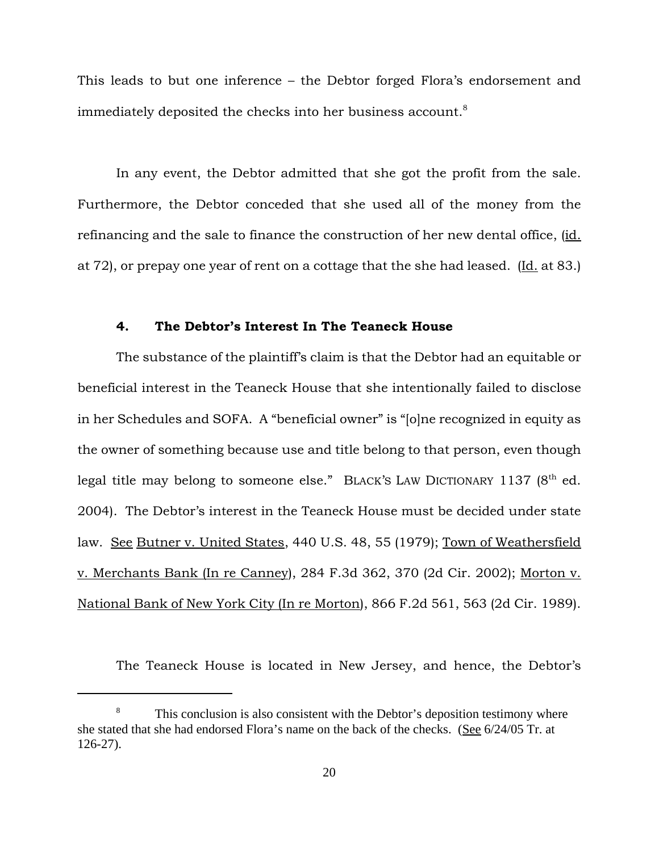This leads to but one inference – the Debtor forged Flora's endorsement and immediately deposited the checks into her business account. $8$ 

In any event, the Debtor admitted that she got the profit from the sale. Furthermore, the Debtor conceded that she used all of the money from the refinancing and the sale to finance the construction of her new dental office, (id. at  $72$ ), or prepay one year of rent on a cottage that the she had leased. (Id. at 83.)

## **4. The Debtor's Interest In The Teaneck House**

The substance of the plaintiff's claim is that the Debtor had an equitable or beneficial interest in the Teaneck House that she intentionally failed to disclose in her Schedules and SOFA. A "beneficial owner" is "[o]ne recognized in equity as the owner of something because use and title belong to that person, even though legal title may belong to someone else." BLACK'S LAW DICTIONARY 1137 (8<sup>th</sup> ed. 2004). The Debtor's interest in the Teaneck House must be decided under state law. See Butner v. United States, 440 U.S. 48, 55 (1979); Town of Weathersfield v. Merchants Bank (In re Canney), 284 F.3d 362, 370 (2d Cir. 2002); Morton v. National Bank of New York City (In re Morton), 866 F.2d 561, 563 (2d Cir. 1989).

The Teaneck House is located in New Jersey, and hence, the Debtor's

<sup>&</sup>lt;sup>8</sup> This conclusion is also consistent with the Debtor's deposition testimony where she stated that she had endorsed Flora's name on the back of the checks. (See 6/24/05 Tr. at 126-27).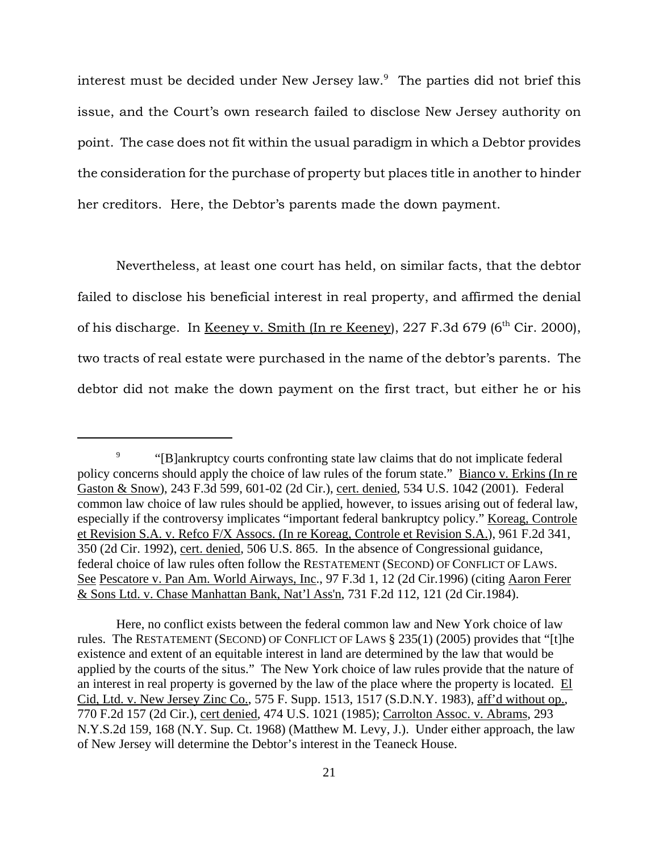interest must be decided under New Jersey law.9 The parties did not brief this issue, and the Court's own research failed to disclose New Jersey authority on point. The case does not fit within the usual paradigm in which a Debtor provides the consideration for the purchase of property but places title in another to hinder her creditors. Here, the Debtor's parents made the down payment.

Nevertheless, at least one court has held, on similar facts, that the debtor failed to disclose his beneficial interest in real property, and affirmed the denial of his discharge. In Keeney v. Smith (In re Keeney),  $227$  F.3d 679 (6<sup>th</sup> Cir. 2000), two tracts of real estate were purchased in the name of the debtor's parents. The debtor did not make the down payment on the first tract, but either he or his

<sup>&</sup>lt;sup>9</sup> "[B]ankruptcy courts confronting state law claims that do not implicate federal policy concerns should apply the choice of law rules of the forum state." Bianco v. Erkins (In re Gaston & Snow), 243 F.3d 599, 601-02 (2d Cir.), cert. denied, 534 U.S. 1042 (2001). Federal common law choice of law rules should be applied, however, to issues arising out of federal law, especially if the controversy implicates "important federal bankruptcy policy." Koreag, Controle et Revision S.A. v. Refco F/X Assocs. (In re Koreag, Controle et Revision S.A.), 961 F.2d 341, 350 (2d Cir. 1992), cert. denied, 506 U.S. 865. In the absence of Congressional guidance, federal choice of law rules often follow the RESTATEMENT (SECOND) OF CONFLICT OF LAWS. See Pescatore v. Pan Am. World Airways, Inc., 97 F.3d 1, 12 (2d Cir.1996) (citing Aaron Ferer & Sons Ltd. v. Chase Manhattan Bank, Nat'l Ass'n, 731 F.2d 112, 121 (2d Cir.1984).

Here, no conflict exists between the federal common law and New York choice of law rules. The RESTATEMENT (SECOND) OF CONFLICT OF LAWS § 235(1) (2005) provides that "[t]he existence and extent of an equitable interest in land are determined by the law that would be applied by the courts of the situs." The New York choice of law rules provide that the nature of an interest in real property is governed by the law of the place where the property is located. El Cid, Ltd. v. New Jersey Zinc Co., 575 F. Supp. 1513, 1517 (S.D.N.Y. 1983), aff'd without op., 770 F.2d 157 (2d Cir.), cert denied, 474 U.S. 1021 (1985); Carrolton Assoc. v. Abrams, 293 N.Y.S.2d 159, 168 (N.Y. Sup. Ct. 1968) (Matthew M. Levy, J.). Under either approach, the law of New Jersey will determine the Debtor's interest in the Teaneck House.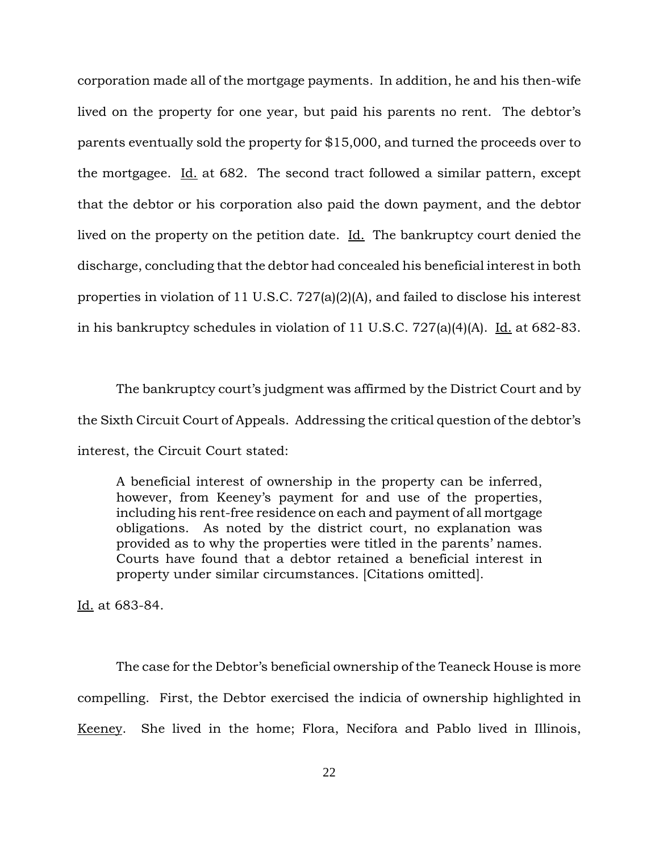corporation made all of the mortgage payments. In addition, he and his then-wife lived on the property for one year, but paid his parents no rent. The debtor's parents eventually sold the property for \$15,000, and turned the proceeds over to the mortgagee. Id. at 682. The second tract followed a similar pattern, except that the debtor or his corporation also paid the down payment, and the debtor lived on the property on the petition date. Id. The bankruptcy court denied the discharge, concluding that the debtor had concealed his beneficial interest in both properties in violation of 11 U.S.C. 727(a)(2)(A), and failed to disclose his interest in his bankruptcy schedules in violation of 11 U.S.C. 727(a)(4)(A). Id. at 682-83.

The bankruptcy court's judgment was affirmed by the District Court and by the Sixth Circuit Court of Appeals. Addressing the critical question of the debtor's interest, the Circuit Court stated:

A beneficial interest of ownership in the property can be inferred, however, from Keeney's payment for and use of the properties, including his rent-free residence on each and payment of all mortgage obligations. As noted by the district court, no explanation was provided as to why the properties were titled in the parents' names. Courts have found that a debtor retained a beneficial interest in property under similar circumstances. [Citations omitted].

Id. at 683-84.

The case for the Debtor's beneficial ownership of the Teaneck House is more compelling. First, the Debtor exercised the indicia of ownership highlighted in Keeney. She lived in the home; Flora, Necifora and Pablo lived in Illinois,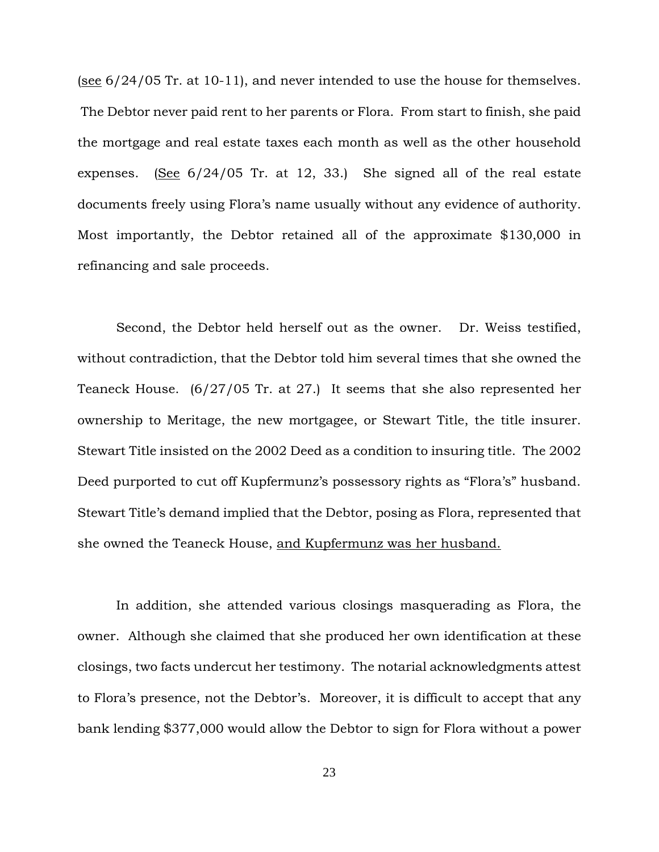(see 6/24/05 Tr. at 10-11), and never intended to use the house for themselves. The Debtor never paid rent to her parents or Flora. From start to finish, she paid the mortgage and real estate taxes each month as well as the other household expenses. (See  $6/24/05$  Tr. at 12, 33.) She signed all of the real estate documents freely using Flora's name usually without any evidence of authority. Most importantly, the Debtor retained all of the approximate \$130,000 in refinancing and sale proceeds.

Second, the Debtor held herself out as the owner. Dr. Weiss testified, without contradiction, that the Debtor told him several times that she owned the Teaneck House. (6/27/05 Tr. at 27.) It seems that she also represented her ownership to Meritage, the new mortgagee, or Stewart Title, the title insurer. Stewart Title insisted on the 2002 Deed as a condition to insuring title. The 2002 Deed purported to cut off Kupfermunz's possessory rights as "Flora's" husband. Stewart Title's demand implied that the Debtor, posing as Flora, represented that she owned the Teaneck House, and Kupfermunz was her husband.

In addition, she attended various closings masquerading as Flora, the owner. Although she claimed that she produced her own identification at these closings, two facts undercut her testimony. The notarial acknowledgments attest to Flora's presence, not the Debtor's. Moreover, it is difficult to accept that any bank lending \$377,000 would allow the Debtor to sign for Flora without a power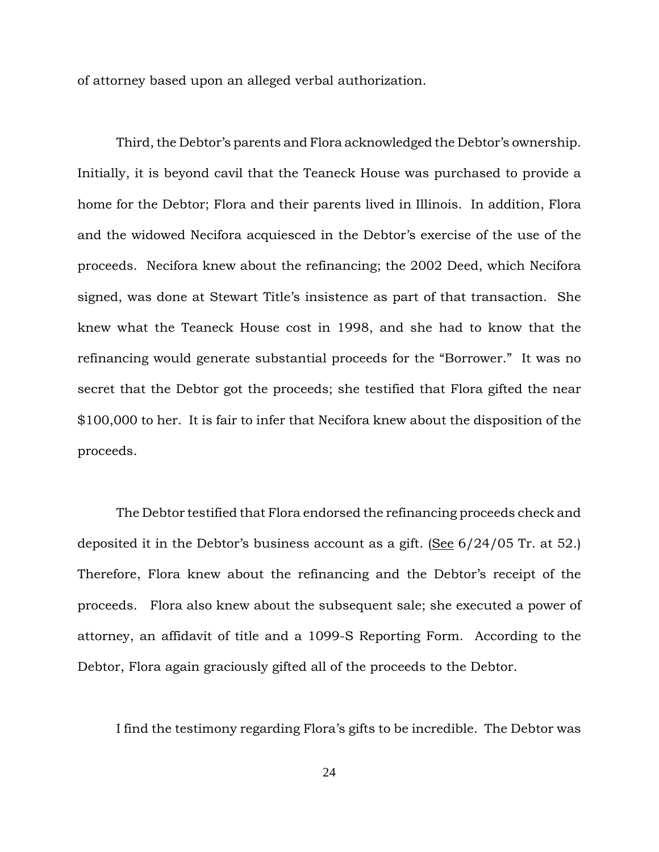of attorney based upon an alleged verbal authorization.

Third, the Debtor's parents and Flora acknowledged the Debtor's ownership. Initially, it is beyond cavil that the Teaneck House was purchased to provide a home for the Debtor; Flora and their parents lived in Illinois. In addition, Flora and the widowed Necifora acquiesced in the Debtor's exercise of the use of the proceeds. Necifora knew about the refinancing; the 2002 Deed, which Necifora signed, was done at Stewart Title's insistence as part of that transaction. She knew what the Teaneck House cost in 1998, and she had to know that the refinancing would generate substantial proceeds for the "Borrower." It was no secret that the Debtor got the proceeds; she testified that Flora gifted the near \$100,000 to her. It is fair to infer that Necifora knew about the disposition of the proceeds.

The Debtor testified that Flora endorsed the refinancing proceeds check and deposited it in the Debtor's business account as a gift. (See 6/24/05 Tr. at 52.) Therefore, Flora knew about the refinancing and the Debtor's receipt of the proceeds. Flora also knew about the subsequent sale; she executed a power of attorney, an affidavit of title and a 1099-S Reporting Form. According to the Debtor, Flora again graciously gifted all of the proceeds to the Debtor.

I find the testimony regarding Flora's gifts to be incredible. The Debtor was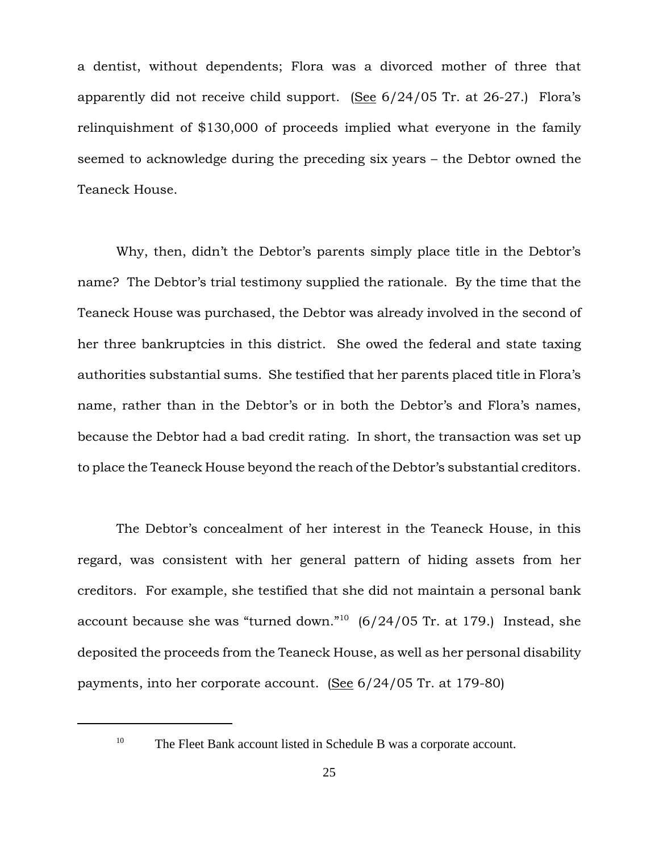a dentist, without dependents; Flora was a divorced mother of three that apparently did not receive child support. (See 6/24/05 Tr. at 26-27.) Flora's relinquishment of \$130,000 of proceeds implied what everyone in the family seemed to acknowledge during the preceding six years – the Debtor owned the Teaneck House.

Why, then, didn't the Debtor's parents simply place title in the Debtor's name? The Debtor's trial testimony supplied the rationale. By the time that the Teaneck House was purchased, the Debtor was already involved in the second of her three bankruptcies in this district. She owed the federal and state taxing authorities substantial sums. She testified that her parents placed title in Flora's name, rather than in the Debtor's or in both the Debtor's and Flora's names, because the Debtor had a bad credit rating. In short, the transaction was set up to place the Teaneck House beyond the reach of the Debtor's substantial creditors.

The Debtor's concealment of her interest in the Teaneck House, in this regard, was consistent with her general pattern of hiding assets from her creditors. For example, she testified that she did not maintain a personal bank account because she was "turned down." $10(6/24/05)$  Tr. at 179.) Instead, she deposited the proceeds from the Teaneck House, as well as her personal disability payments, into her corporate account. (See 6/24/05 Tr. at 179-80)

<sup>&</sup>lt;sup>10</sup> The Fleet Bank account listed in Schedule B was a corporate account.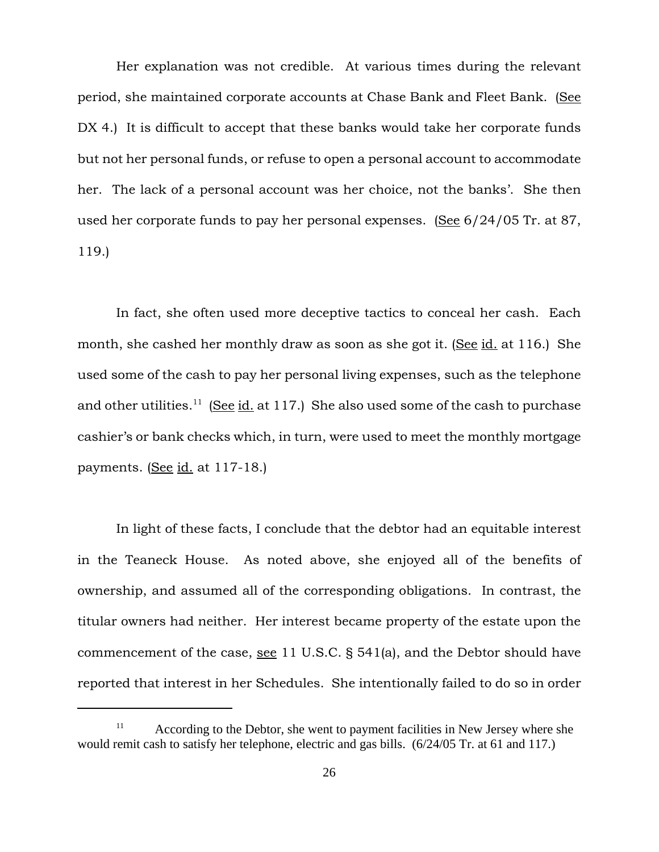Her explanation was not credible. At various times during the relevant period, she maintained corporate accounts at Chase Bank and Fleet Bank. (See DX 4.) It is difficult to accept that these banks would take her corporate funds but not her personal funds, or refuse to open a personal account to accommodate her. The lack of a personal account was her choice, not the banks'. She then used her corporate funds to pay her personal expenses. (See 6/24/05 Tr. at 87, 119.)

In fact, she often used more deceptive tactics to conceal her cash. Each month, she cashed her monthly draw as soon as she got it. (See id. at 116.) She used some of the cash to pay her personal living expenses, such as the telephone and other utilities.<sup>11</sup> (See id. at 117.) She also used some of the cash to purchase cashier's or bank checks which, in turn, were used to meet the monthly mortgage payments. (See id. at 117-18.)

In light of these facts, I conclude that the debtor had an equitable interest in the Teaneck House. As noted above, she enjoyed all of the benefits of ownership, and assumed all of the corresponding obligations. In contrast, the titular owners had neither. Her interest became property of the estate upon the commencement of the case, see 11 U.S.C. § 541(a), and the Debtor should have reported that interest in her Schedules. She intentionally failed to do so in order

 $11$  According to the Debtor, she went to payment facilities in New Jersey where she would remit cash to satisfy her telephone, electric and gas bills. (6/24/05 Tr. at 61 and 117.)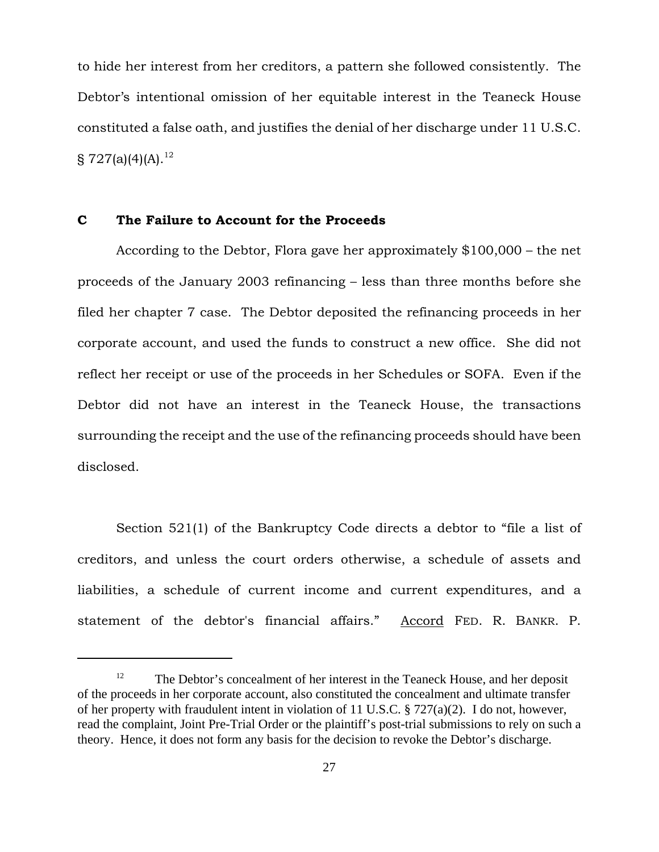to hide her interest from her creditors, a pattern she followed consistently. The Debtor's intentional omission of her equitable interest in the Teaneck House constituted a false oath, and justifies the denial of her discharge under 11 U.S.C.  $\S 727(a)(4)(A).^{12}$ 

## **C The Failure to Account for the Proceeds**

According to the Debtor, Flora gave her approximately \$100,000 – the net proceeds of the January 2003 refinancing – less than three months before she filed her chapter 7 case. The Debtor deposited the refinancing proceeds in her corporate account, and used the funds to construct a new office. She did not reflect her receipt or use of the proceeds in her Schedules or SOFA. Even if the Debtor did not have an interest in the Teaneck House, the transactions surrounding the receipt and the use of the refinancing proceeds should have been disclosed.

Section 521(1) of the Bankruptcy Code directs a debtor to "file a list of creditors, and unless the court orders otherwise, a schedule of assets and liabilities, a schedule of current income and current expenditures, and a statement of the debtor's financial affairs." Accord FED. R. BANKR. P.

<sup>&</sup>lt;sup>12</sup> The Debtor's concealment of her interest in the Teaneck House, and her deposit of the proceeds in her corporate account, also constituted the concealment and ultimate transfer of her property with fraudulent intent in violation of 11 U.S.C. § 727(a)(2). I do not, however, read the complaint, Joint Pre-Trial Order or the plaintiff's post-trial submissions to rely on such a theory. Hence, it does not form any basis for the decision to revoke the Debtor's discharge.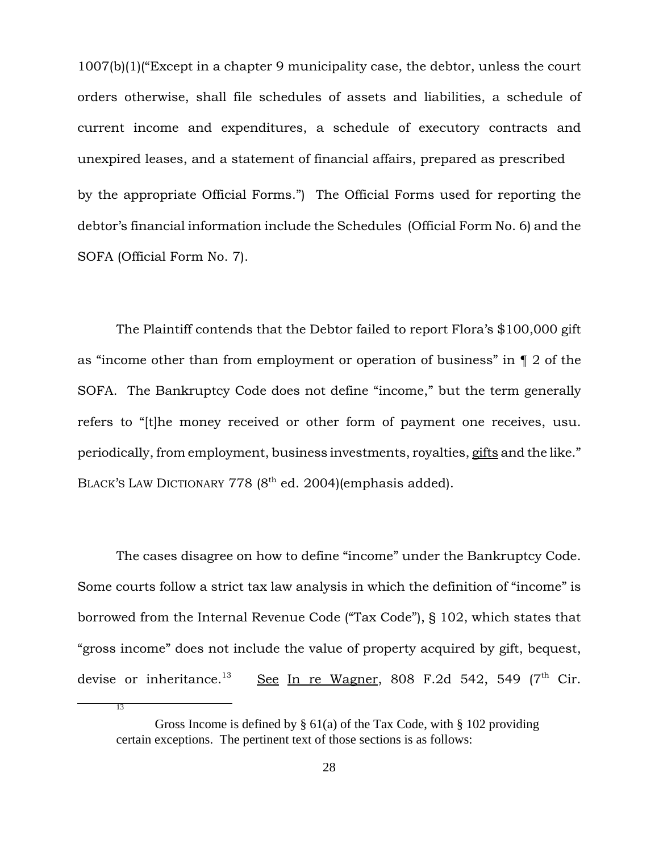1007(b)(1)("Except in a chapter 9 municipality case, the debtor, unless the court orders otherwise, shall file schedules of assets and liabilities, a schedule of current income and expenditures, a schedule of executory contracts and unexpired leases, and a statement of financial affairs, prepared as prescribed by the appropriate Official Forms.") The Official Forms used for reporting the debtor's financial information include the Schedules (Official Form No. 6) and the SOFA (Official Form No. 7).

The Plaintiff contends that the Debtor failed to report Flora's \$100,000 gift as "income other than from employment or operation of business" in ¶ 2 of the SOFA. The Bankruptcy Code does not define "income," but the term generally refers to "[t]he money received or other form of payment one receives, usu. periodically, from employment, business investments, royalties, gifts and the like." BLACK'S LAW DICTIONARY 778 (8<sup>th</sup> ed. 2004)(emphasis added).

The cases disagree on how to define "income" under the Bankruptcy Code. Some courts follow a strict tax law analysis in which the definition of "income" is borrowed from the Internal Revenue Code ("Tax Code"), § 102, which states that "gross income" does not include the value of property acquired by gift, bequest, devise or inheritance.<sup>13</sup> See In re Wagner, 808 F.2d 542, 549 (7<sup>th</sup> Cir.

13

Gross Income is defined by  $\S 61(a)$  of the Tax Code, with  $\S 102$  providing certain exceptions. The pertinent text of those sections is as follows: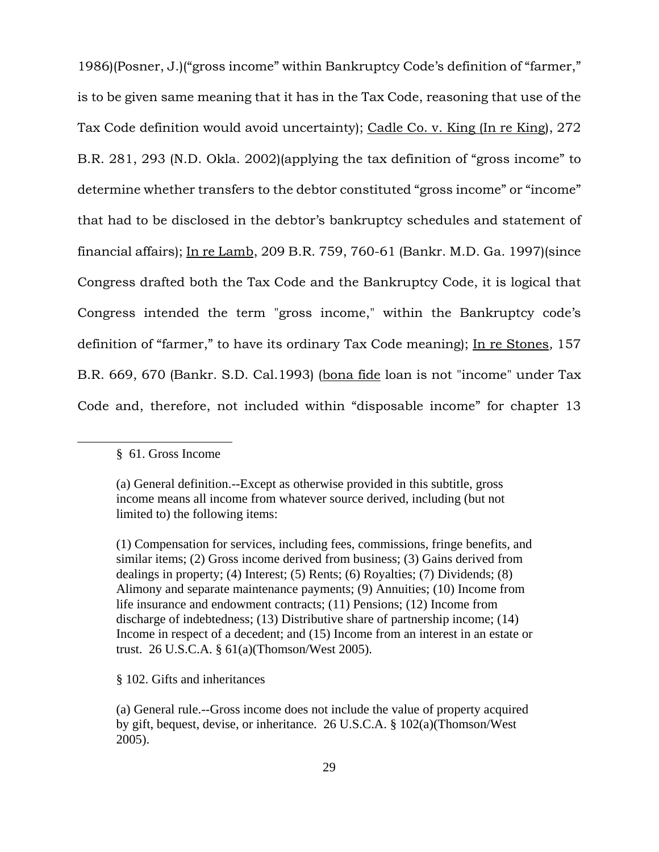1986)(Posner, J.)("gross income" within Bankruptcy Code's definition of "farmer," is to be given same meaning that it has in the Tax Code, reasoning that use of the Tax Code definition would avoid uncertainty); Cadle Co. v. King (In re King), 272 B.R. 281, 293 (N.D. Okla. 2002)(applying the tax definition of "gross income" to determine whether transfers to the debtor constituted "gross income" or "income" that had to be disclosed in the debtor's bankruptcy schedules and statement of financial affairs); In re Lamb, 209 B.R. 759, 760-61 (Bankr. M.D. Ga. 1997)(since Congress drafted both the Tax Code and the Bankruptcy Code, it is logical that Congress intended the term "gross income," within the Bankruptcy code's definition of "farmer," to have its ordinary Tax Code meaning); In re Stones*,* 157 B.R. 669, 670 (Bankr. S.D. Cal.1993) (bona fide loan is not "income" under Tax Code and, therefore, not included within "disposable income" for chapter 13

### § 61. Gross Income

§ 102. Gifts and inheritances

<sup>(</sup>a) General definition.--Except as otherwise provided in this subtitle, gross income means all income from whatever source derived, including (but not limited to) the following items:

<sup>(1)</sup> Compensation for services, including fees, commissions, fringe benefits, and similar items; (2) Gross income derived from business; (3) Gains derived from dealings in property; (4) Interest; (5) Rents; (6) Royalties; (7) Dividends; (8) Alimony and separate maintenance payments; (9) Annuities; (10) Income from life insurance and endowment contracts; (11) Pensions; (12) Income from discharge of indebtedness; (13) Distributive share of partnership income; (14) Income in respect of a decedent; and (15) Income from an interest in an estate or trust. 26 U.S.C.A. § 61(a)(Thomson/West 2005).

<sup>(</sup>a) General rule.--Gross income does not include the value of property acquired by gift, bequest, devise, or inheritance. 26 U.S.C.A. § 102(a)(Thomson/West 2005).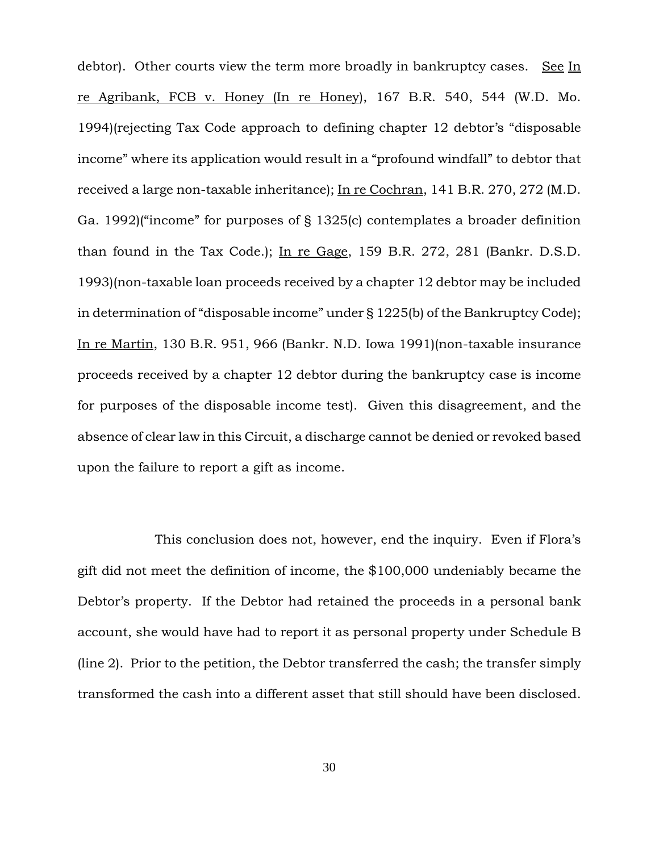debtor). Other courts view the term more broadly in bankruptcy cases.See In re Agribank, FCB v. Honey (In re Honey), 167 B.R. 540, 544 (W.D. Mo. 1994)(rejecting Tax Code approach to defining chapter 12 debtor's "disposable income" where its application would result in a "profound windfall" to debtor that received a large non-taxable inheritance); In re Cochran, 141 B.R. 270, 272 (M.D. Ga. 1992)("income" for purposes of § 1325(c) contemplates a broader definition than found in the Tax Code.); In re Gage, 159 B.R. 272, 281 (Bankr. D.S.D. 1993)(non-taxable loan proceeds received by a chapter 12 debtor may be included in determination of "disposable income" under § 1225(b) of the Bankruptcy Code); In re Martin, 130 B.R. 951, 966 (Bankr. N.D. Iowa 1991)(non-taxable insurance proceeds received by a chapter 12 debtor during the bankruptcy case is income for purposes of the disposable income test). Given this disagreement, and the absence of clear law in this Circuit, a discharge cannot be denied or revoked based upon the failure to report a gift as income.

This conclusion does not, however, end the inquiry. Even if Flora's gift did not meet the definition of income, the \$100,000 undeniably became the Debtor's property. If the Debtor had retained the proceeds in a personal bank account, she would have had to report it as personal property under Schedule B (line 2). Prior to the petition, the Debtor transferred the cash; the transfer simply transformed the cash into a different asset that still should have been disclosed.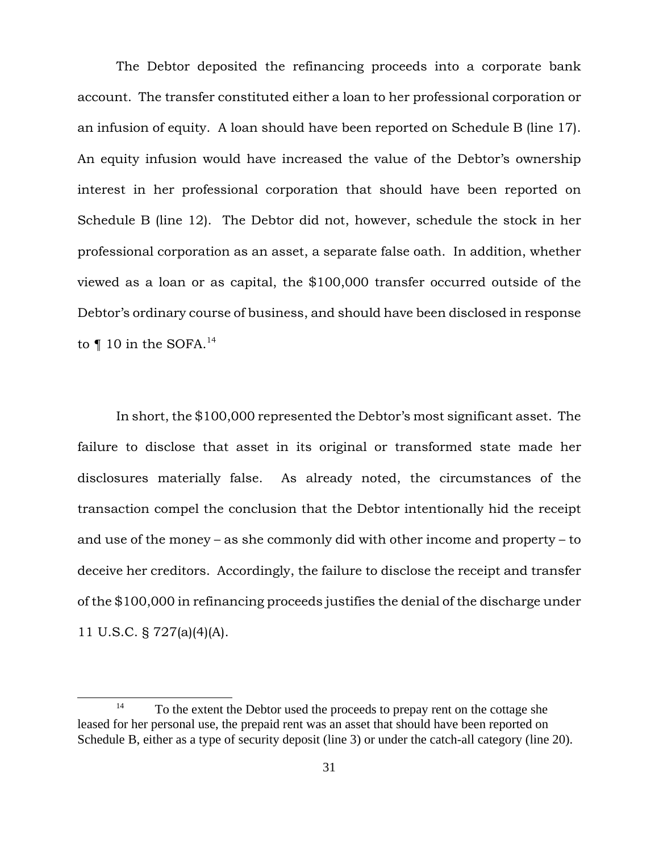The Debtor deposited the refinancing proceeds into a corporate bank account. The transfer constituted either a loan to her professional corporation or an infusion of equity. A loan should have been reported on Schedule B (line 17). An equity infusion would have increased the value of the Debtor's ownership interest in her professional corporation that should have been reported on Schedule B (line 12). The Debtor did not, however, schedule the stock in her professional corporation as an asset, a separate false oath. In addition, whether viewed as a loan or as capital, the \$100,000 transfer occurred outside of the Debtor's ordinary course of business, and should have been disclosed in response to  $\P$  10 in the SOFA.<sup>14</sup>

In short, the \$100,000 represented the Debtor's most significant asset. The failure to disclose that asset in its original or transformed state made her disclosures materially false. As already noted, the circumstances of the transaction compel the conclusion that the Debtor intentionally hid the receipt and use of the money – as she commonly did with other income and property – to deceive her creditors. Accordingly, the failure to disclose the receipt and transfer of the \$100,000 in refinancing proceeds justifies the denial of the discharge under 11 U.S.C. § 727(a)(4)(A).

 $14$  To the extent the Debtor used the proceeds to prepay rent on the cottage she leased for her personal use, the prepaid rent was an asset that should have been reported on Schedule B, either as a type of security deposit (line 3) or under the catch-all category (line 20).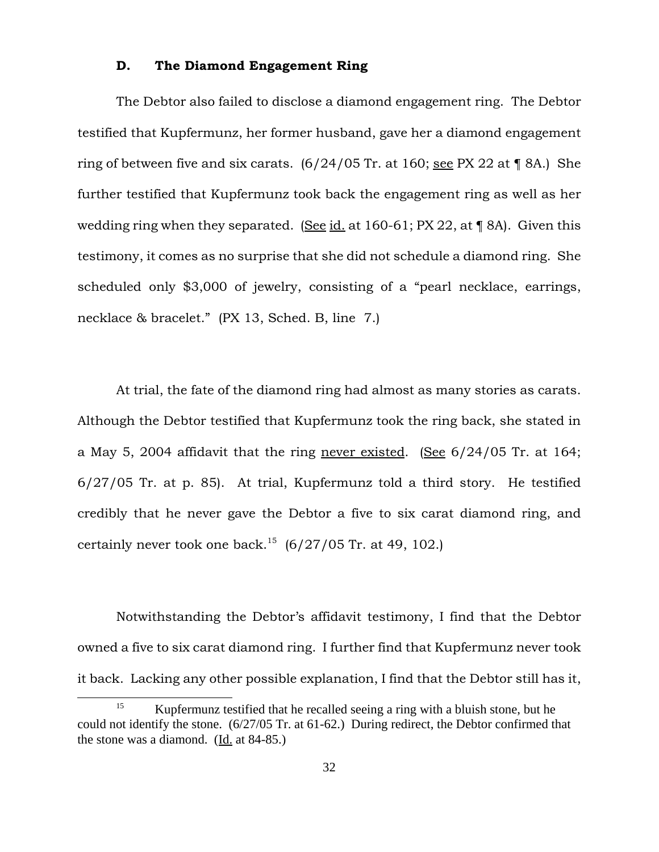## **D. The Diamond Engagement Ring**

The Debtor also failed to disclose a diamond engagement ring. The Debtor testified that Kupfermunz, her former husband, gave her a diamond engagement ring of between five and six carats.  $(6/24/05 \text{ Tr. at } 160; \text{ sec } PX$  22 at ¶ 8A.) She further testified that Kupfermunz took back the engagement ring as well as her wedding ring when they separated. (See id. at 160-61; PX 22, at ¶ 8A). Given this testimony, it comes as no surprise that she did not schedule a diamond ring. She scheduled only \$3,000 of jewelry, consisting of a "pearl necklace, earrings, necklace & bracelet." (PX 13, Sched. B, line 7.)

At trial, the fate of the diamond ring had almost as many stories as carats. Although the Debtor testified that Kupfermunz took the ring back, she stated in a May 5, 2004 affidavit that the ring never existed. (See 6/24/05 Tr. at 164; 6/27/05 Tr. at p. 85). At trial, Kupfermunz told a third story. He testified credibly that he never gave the Debtor a five to six carat diamond ring, and certainly never took one back.<sup>15</sup>  $(6/27/05$  Tr. at 49, 102.

Notwithstanding the Debtor's affidavit testimony, I find that the Debtor owned a five to six carat diamond ring. I further find that Kupfermunz never took it back. Lacking any other possible explanation, I find that the Debtor still has it,

<sup>&</sup>lt;sup>15</sup> Kupfermunz testified that he recalled seeing a ring with a bluish stone, but he could not identify the stone. (6/27/05 Tr. at 61-62.) During redirect, the Debtor confirmed that the stone was a diamond. (Id. at 84-85.)